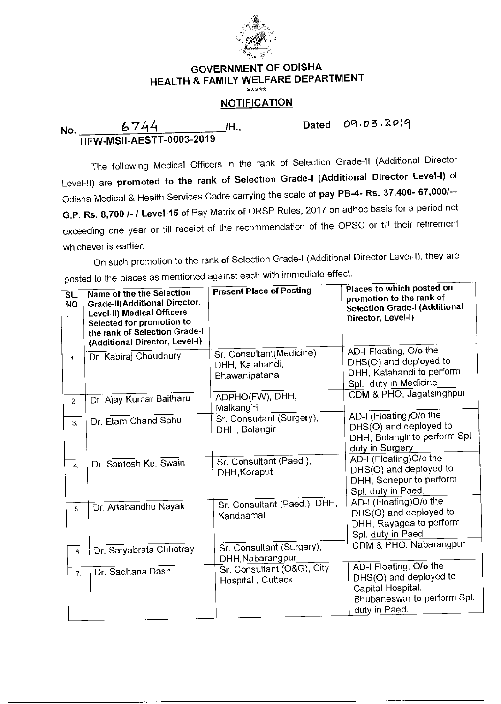

## **GOVERNMENT OF ODISHA HEALTH & FAMILY WELFARE DEPARTMENT**

## **NOTIFICATION**

**No. /H.,** Dated Oct •03 .2019 HFW-MSII-AESTT-0003-2019

The following Medical Officers in the rank of Selection Grade-II (Additional Director Level-II) are promoted to the rank of Selection Grade-I (Additional Director Level-I) of Odisha Medical & Health Services Cadre carrying the scale of pay PB-4- Rs. 37,400- 67,000/-+ G.P. Rs. 8,700 /- / Level-15 of Pay Matrix of ORSP Rules, 2017 on adhoc basis for a period not exceeding one year or till receipt of the recommendation of the OPSC or till their retirement whichever is earlier.

On such promotion to the rank of Selection Grade-I (Additional Director Level-I), they are On such p<br>posted to the place laces as mentioned against each with immediate effect.

| SL.<br><b>NO</b> | Name of the the Selection<br><b>Grade-II(Additional Director,</b><br>Level-II) Medical Officers<br>Selected for promotion to<br>the rank of Selection Grade-I<br>(Additional Director, Level-I) | <b>Present Place of Posting</b>                              | Places to which posted on<br>promotion to the rank of<br><b>Selection Grade-I (Additional</b><br>Director, Level-I)   |
|------------------|-------------------------------------------------------------------------------------------------------------------------------------------------------------------------------------------------|--------------------------------------------------------------|-----------------------------------------------------------------------------------------------------------------------|
| $\mathbf{1}$     | Dr. Kabiraj Choudhury                                                                                                                                                                           | Sr. Consultant(Medicine)<br>DHH, Kalahandi,<br>Bhawanipatana | AD-I Floating, O/o the<br>DHS(O) and deployed to<br>DHH, Kalahandi to perform<br>Spl. duty in Medicine                |
| $\overline{2}$ . | Dr. Ajay Kumar Baitharu                                                                                                                                                                         | ADPHO(FW), DHH,<br>Malkangiri                                | CDM & PHO, Jagatsinghpur                                                                                              |
| 3 <sub>1</sub>   | Dr. Etam Chand Sahu                                                                                                                                                                             | Sr. Consultant (Surgery),<br>DHH, Bolangir                   | AD-I (Floating)O/o the<br>DHS(O) and deployed to<br>DHH, Bolangir to perform Spl.<br>duty in Surgery                  |
| 4.               | Dr. Santosh Ku. Swain                                                                                                                                                                           | Sr. Consultant (Paed.),<br>DHH, Koraput                      | AD-I (Floating)O/o the<br>DHS(O) and deployed to<br>DHH, Sonepur to perform<br>Spl. duty in Paed.                     |
| 5.               | Dr. Artabandhu Nayak                                                                                                                                                                            | Sr. Consultant (Paed.), DHH,<br>Kandhamal                    | AD-I (Floating)O/o the<br>DHS(O) and deployed to<br>DHH, Rayagda to perform<br>Spl. duty in Paed.                     |
| 6.               | Dr. Satyabrata Chhotray                                                                                                                                                                         | Sr. Consultant (Surgery),<br>DHH, Nabarangpur                | CDM & PHO, Nabarangpur                                                                                                |
| 7 <sub>1</sub>   | Dr. Sadhana Dash                                                                                                                                                                                | Sr. Consultant (O&G), City<br>Hospital, Cuttack              | AD-I Floating, O/o the<br>DHS(O) and deployed to<br>Capital Hospital.<br>Bhubaneswar to perform Spl.<br>duty in Paed. |